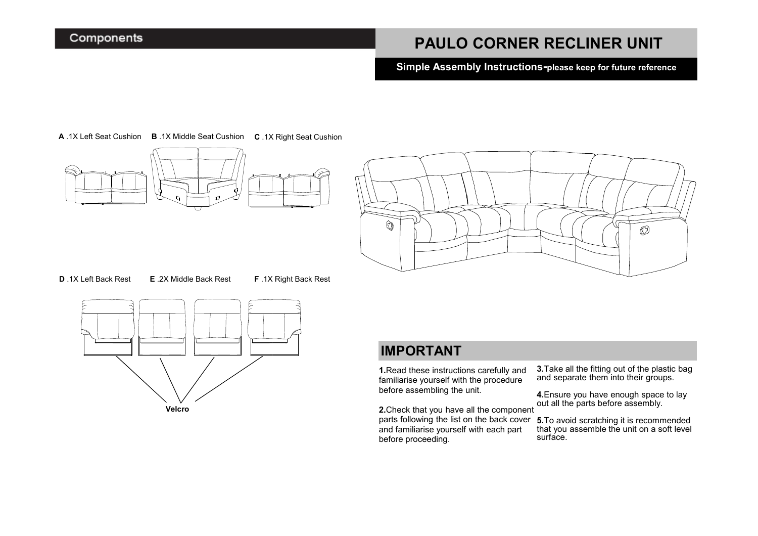### **PAULO CORNER RECLINER UNIT**

**Simple Assembly Instructions-please keep for future reference** 

**A** .1X Left Seat Cushion **B** .1X Middle Seat Cushion **C** .1X Right Seat Cushion





**D** .1X Left Back Rest **E** .2X Middle Back Rest **F** .1X Right Back Rest



### **IMPORTANT**

**1.**Read these instructions carefully and familiarise yourself with the procedure before assembling the unit.

**2.**Check that you have all the component and familiarise yourself with each part before proceeding.

**3.**Take all the fitting out of the plastic bag and separate them into their groups.

**4.**Ensure you have enough space to lay out all the parts before assembly.

parts following the list on the back cover **5.**To avoid scratching it is recommended that you assemble the unit on a soft level surface.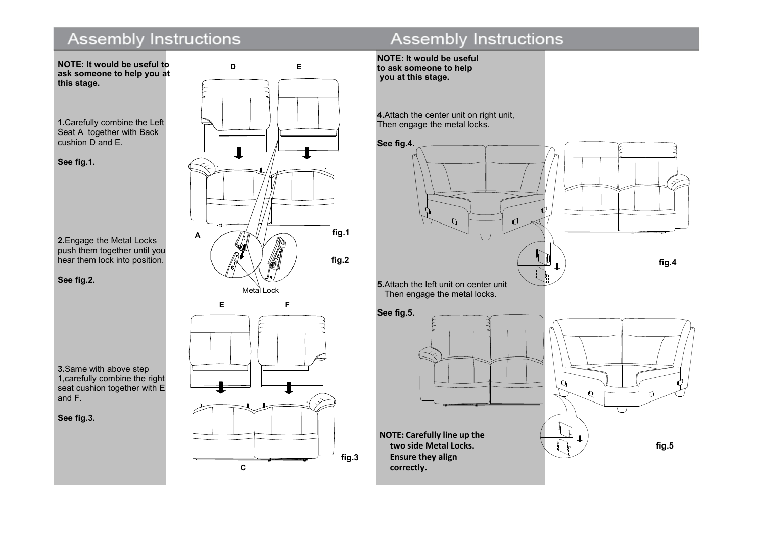# **Assembly Instructions**



**1.**Carefully combine the Left Seat A together with Back cushion D and E.

**See fig.1.**

**2.**Engage the Metal Locks push them together until you hear them lock into position.

**See fig.2.**

**3.**Same with above step 1,carefully combine the right seat cushion together with E and F.

**See fig.3.**



# Assembly Instructions

**NOTE: It would be useful to ask someone to help you at this stage.**

**4.**Attach the center unit on right unit, Then engage the metal locks.